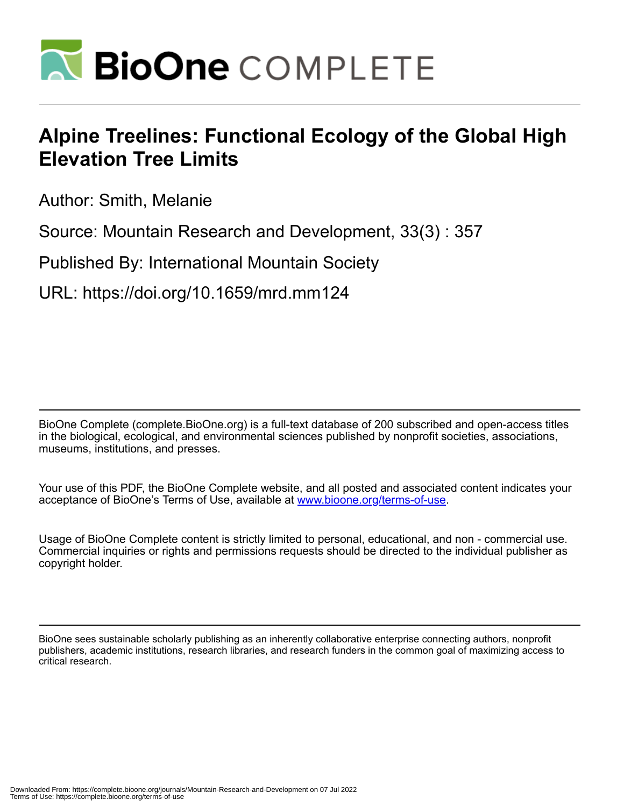

# **Alpine Treelines: Functional Ecology of the Global High Elevation Tree Limits**

Author: Smith, Melanie

Source: Mountain Research and Development, 33(3) : 357

Published By: International Mountain Society

URL: https://doi.org/10.1659/mrd.mm124

BioOne Complete (complete.BioOne.org) is a full-text database of 200 subscribed and open-access titles in the biological, ecological, and environmental sciences published by nonprofit societies, associations, museums, institutions, and presses.

Your use of this PDF, the BioOne Complete website, and all posted and associated content indicates your acceptance of BioOne's Terms of Use, available at www.bioone.org/terms-of-use.

Usage of BioOne Complete content is strictly limited to personal, educational, and non - commercial use. Commercial inquiries or rights and permissions requests should be directed to the individual publisher as copyright holder.

BioOne sees sustainable scholarly publishing as an inherently collaborative enterprise connecting authors, nonprofit publishers, academic institutions, research libraries, and research funders in the common goal of maximizing access to critical research.